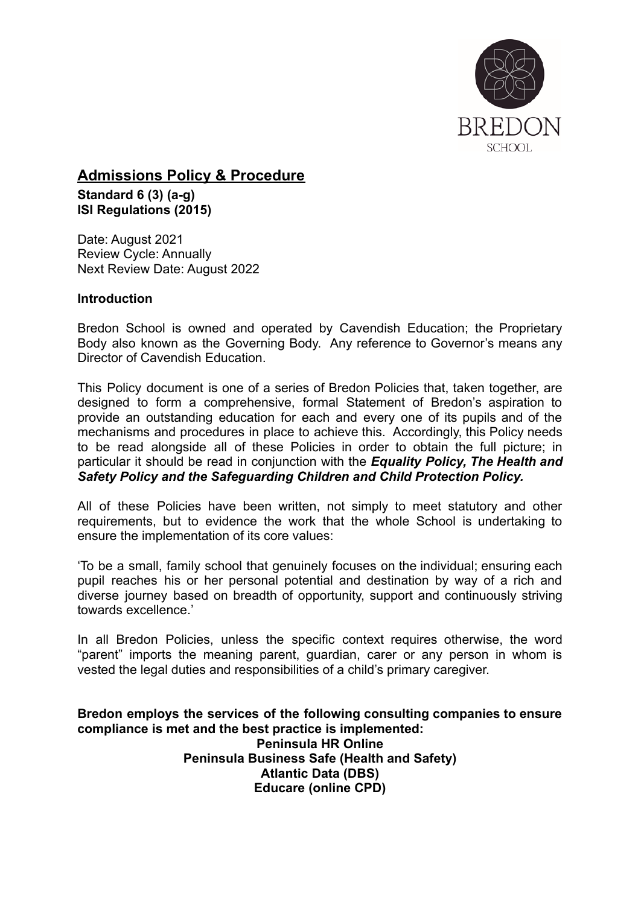

**Admissions Policy & Procedure Standard 6 (3) (a-g) ISI Regulations (2015)**

Date: August 2021 Review Cycle: Annually Next Review Date: August 2022

### **Introduction**

Bredon School is owned and operated by Cavendish Education; the Proprietary Body also known as the Governing Body. Any reference to Governor's means any Director of Cavendish Education.

This Policy document is one of a series of Bredon Policies that, taken together, are designed to form a comprehensive, formal Statement of Bredon's aspiration to provide an outstanding education for each and every one of its pupils and of the mechanisms and procedures in place to achieve this. Accordingly, this Policy needs to be read alongside all of these Policies in order to obtain the full picture; in particular it should be read in conjunction with the *Equality Policy, The Health and Safety Policy and the Safeguarding Children and Child Protection Policy.*

All of these Policies have been written, not simply to meet statutory and other requirements, but to evidence the work that the whole School is undertaking to ensure the implementation of its core values:

'To be a small, family school that genuinely focuses on the individual; ensuring each pupil reaches his or her personal potential and destination by way of a rich and diverse journey based on breadth of opportunity, support and continuously striving towards excellence.'

In all Bredon Policies, unless the specific context requires otherwise, the word "parent" imports the meaning parent, guardian, carer or any person in whom is vested the legal duties and responsibilities of a child's primary caregiver.

**Bredon employs the services of the following consulting companies to ensure compliance is met and the best practice is implemented: Peninsula HR Online Peninsula Business Safe (Health and Safety) Atlantic Data (DBS) Educare (online CPD)**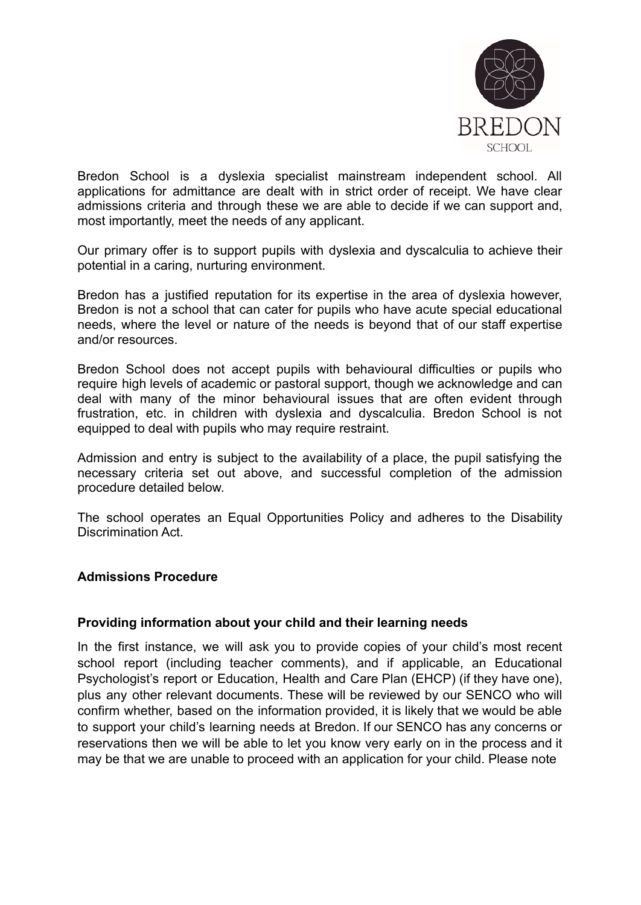

Bredon School is a dyslexia specialist mainstream independent school. All applications for admittance are dealt with in strict order of receipt. We have clear admissions criteria and through these we are able to decide if we can support and, most importantly, meet the needs of any applicant.

Our primary offer is to support pupils with dyslexia and dyscalculia to achieve their potential in a caring, nurturing environment.

Bredon has a justified reputation for its expertise in the area of dyslexia however, Bredon is not a school that can cater for pupils who have acute special educational needs, where the level or nature of the needs is beyond that of our staff expertise and/or resources.

Bredon School does not accept pupils with behavioural difficulties or pupils who require high levels of academic or pastoral support, though we acknowledge and can deal with many of the minor behavioural issues that are often evident through frustration, etc. in children with dyslexia and dyscalculia. Bredon School is not equipped to deal with pupils who may require restraint.

Admission and entry is subject to the availability of a place, the pupil satisfying the necessary criteria set out above, and successful completion of the admission procedure detailed below.

The school operates an Equal Opportunities Policy and adheres to the Disability Discrimination Act.

## **Admissions Procedure**

#### **Providing information about your child and their learning needs**

In the first instance, we will ask you to provide copies of your child's most recent school report (including teacher comments), and if applicable, an Educational Psychologist's report or Education, Health and Care Plan (EHCP) (if they have one), plus any other relevant documents. These will be reviewed by our SENCO who will confirm whether, based on the information provided, it is likely that we would be able to support your child's learning needs at Bredon. If our SENCO has any concerns or reservations then we will be able to let you know very early on in the process and it may be that we are unable to proceed with an application for your child. Please note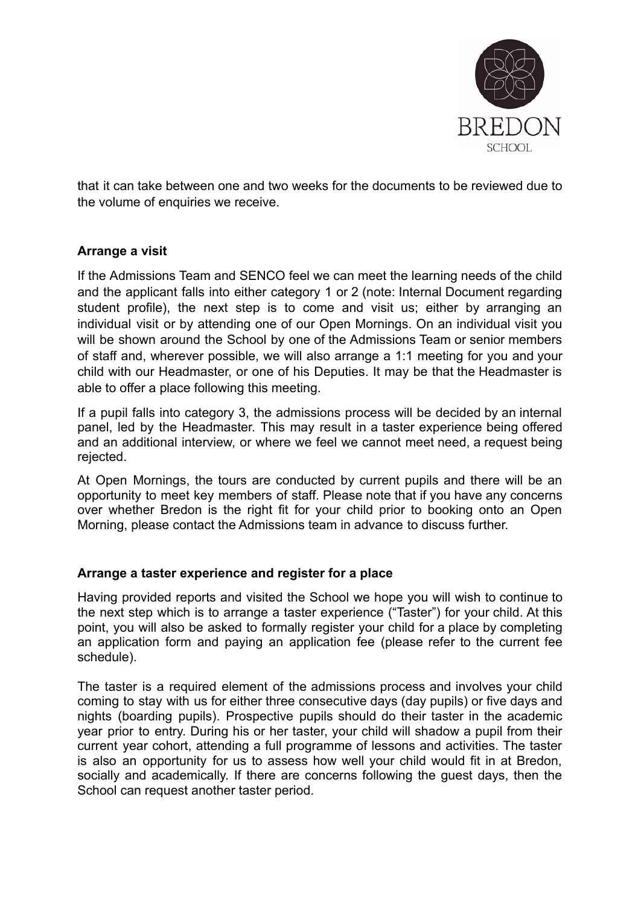

that it can take between one and two weeks for the documents to be reviewed due to the volume of enquiries we receive.

## **Arrange a visit**

If the Admissions Team and SENCO feel we can meet the learning needs of the child and the applicant falls into either category 1 or 2 (note: Internal Document regarding student profile), the next step is to come and visit us; either by arranging an individual visit or by attending one of our Open Mornings. On an individual visit you will be shown around the School by one of the Admissions Team or senior members of staff and, wherever possible, we will also arrange a 1:1 meeting for you and your child with our Headmaster, or one of his Deputies. It may be that the Headmaster is able to offer a place following this meeting.

If a pupil falls into category 3, the admissions process will be decided by an internal panel, led by the Headmaster. This may result in a taster experience being offered and an additional interview, or where we feel we cannot meet need, a request being rejected.

At Open Mornings, the tours are conducted by current pupils and there will be an opportunity to meet key members of staff. Please note that if you have any concerns over whether Bredon is the right fit for your child prior to booking onto an Open Morning, please contact the Admissions team in advance to discuss further.

## **Arrange a taster experience and register for a place**

Having provided reports and visited the School we hope you will wish to continue to the next step which is to arrange a taster experience ("Taster") for your child. At this point, you will also be asked to formally register your child for a place by completing an application form and paying an application fee (please refer to the current fee schedule).

The taster is a required element of the admissions process and involves your child coming to stay with us for either three consecutive days (day pupils) or five days and nights (boarding pupils). Prospective pupils should do their taster in the academic year prior to entry. During his or her taster, your child will shadow a pupil from their current year cohort, attending a full programme of lessons and activities. The taster is also an opportunity for us to assess how well your child would fit in at Bredon, socially and academically. If there are concerns following the guest days, then the School can request another taster period.